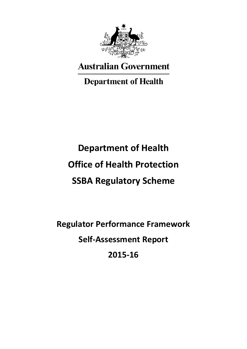

**Australian Government** 

**Department of Health** 

# **Department of Health Office of Health Protection SSBA Regulatory Scheme**

**Regulator Performance Framework Self-Assessment Report 2015-16**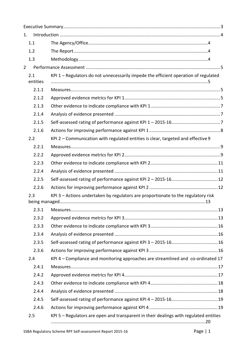| 1.              |                                                                                       |
|-----------------|---------------------------------------------------------------------------------------|
| 1.1             |                                                                                       |
| 1.2             |                                                                                       |
| 1.3             |                                                                                       |
| $\overline{2}$  |                                                                                       |
| 2.1<br>entities | KPI 1 - Regulators do not unnecessarily impede the efficient operation of regulated   |
| 2.1.1           |                                                                                       |
| 2.1.2           |                                                                                       |
| 2.1.3           |                                                                                       |
| 2.1.4           |                                                                                       |
| 2.1.5           |                                                                                       |
| 2.1.6           |                                                                                       |
| 2.2             | KPI 2 - Communication with regulated entities is clear, targeted and effective 9      |
| 2.2.1           |                                                                                       |
| 2.2.2           |                                                                                       |
| 2.2.3           |                                                                                       |
| 2.2.4           |                                                                                       |
| 2.2.5           |                                                                                       |
| 2.2.6           |                                                                                       |
| 2.3             | KPI 3 - Actions undertaken by regulators are proportionate to the regulatory risk     |
|                 |                                                                                       |
|                 |                                                                                       |
| 2.3.2           |                                                                                       |
| 2.3.3           |                                                                                       |
| 2.3.4           |                                                                                       |
| 2.3.5           |                                                                                       |
| 2.3.6           |                                                                                       |
| 2.4             | KPI 4 - Compliance and monitoring approaches are streamlined and co-ordinated 17      |
| 2.4.1           |                                                                                       |
| 2.4.2           |                                                                                       |
| 2.4.3           |                                                                                       |
| 2.4.4           |                                                                                       |
| 2.4.5           |                                                                                       |
| 2.4.6           |                                                                                       |
| 2.5             | KPI 5 - Regulators are open and transparent in their dealings with regulated entities |
|                 |                                                                                       |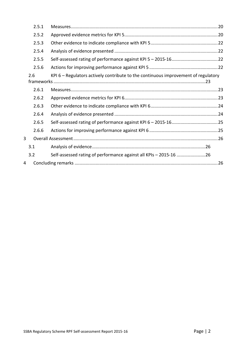| 2.5.1 |                                                                                    |  |
|-------|------------------------------------------------------------------------------------|--|
| 2.5.2 |                                                                                    |  |
| 2.5.3 |                                                                                    |  |
| 2.5.4 |                                                                                    |  |
| 2.5.5 |                                                                                    |  |
| 2.5.6 |                                                                                    |  |
| 2.6   | KPI 6 – Regulators actively contribute to the continuous improvement of regulatory |  |
| 2.6.1 |                                                                                    |  |
| 2.6.2 |                                                                                    |  |
| 2.6.3 |                                                                                    |  |
| 2.6.4 |                                                                                    |  |
| 2.6.5 |                                                                                    |  |
| 2.6.6 |                                                                                    |  |
| 3     |                                                                                    |  |
| 3.1   |                                                                                    |  |
| 3.2   | Self-assessed rating of performance against all KPIs - 2015-16 26                  |  |
| 4     |                                                                                    |  |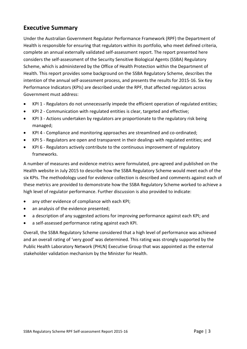## <span id="page-3-0"></span>**Executive Summary**

Under the Australian Government Regulator Performance Framework (RPF) the Department of Health is responsible for ensuring that regulators within its portfolio, who meet defined criteria, complete an annual externally validated self-assessment report. The report presented here considers the self-assessment of the Security Sensitive Biological Agents (SSBA) Regulatory Scheme, which is administered by the Office of Health Protection within the Department of Health. This report provides some background on the SSBA Regulatory Scheme, describes the intention of the annual self-assessment process, and presents the results for 2015-16. Six Key Performance Indicators (KPIs) are described under the RPF, that affected regulators across Government must address:

- KPI 1 Regulators do not unnecessarily impede the efficient operation of regulated entities;
- KPI 2 Communication with regulated entities is clear, targeted and effective;
- KPI 3 Actions undertaken by regulators are proportionate to the regulatory risk being managed;
- KPI 4 Compliance and monitoring approaches are streamlined and co-ordinated;
- KPI 5 Regulators are open and transparent in their dealings with regulated entities; and
- KPI 6 Regulators actively contribute to the continuous improvement of regulatory frameworks.

A number of measures and evidence metrics were formulated, pre-agreed and published on the Health website in July 2015 to describe how the SSBA Regulatory Scheme would meet each of the six KPIs. The methodology used for evidence collection is described and comments against each of these metrics are provided to demonstrate how the SSBA Regulatory Scheme worked to achieve a high level of regulator performance. Further discussion is also provided to indicate:

- any other evidence of compliance with each KPI;
- an analysis of the evidence presented;
- a description of any suggested actions for improving performance against each KPI; and
- a self-assessed performance rating against each KPI.

Overall, the SSBA Regulatory Scheme considered that a high level of performance was achieved and an overall rating of 'very good' was determined. This rating was strongly supported by the Public Health Laboratory Network (PHLN) Executive Group that was appointed as the external stakeholder validation mechanism by the Minister for Health.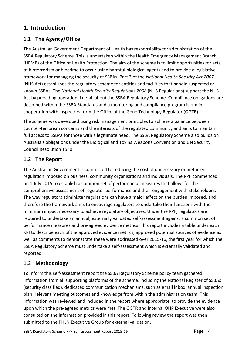## <span id="page-4-0"></span>**1. Introduction**

## <span id="page-4-1"></span>**1.1 The Agency/Office**

The Australian Government Department of Health has responsibility for administration of the SSBA Regulatory Scheme. This is undertaken within the Health Emergency Management Branch (HEMB) of the Office of Health Protection. The aim of the scheme is to limit opportunities for acts of bioterrorism or biocrime to occur using harmful biological agents and to provide a legislative framework for managing the security of SSBAs. Part 3 of the *National Health Security Act 2007* (NHS Act) establishes the regulatory scheme for entities and facilities that handle suspected or known SSBAs. The *National Health Security Regulations 2008* (NHS Regulations) support the NHS Act by providing operational detail about the SSBA Regulatory Scheme. Compliance obligations are described within the SSBA Standards and a monitoring and compliance program is run in cooperation with inspectors from the Office of the Gene Technology Regulator (OGTR).

The scheme was developed using risk management principles to achieve a balance between counter-terrorism concerns and the interests of the regulated community and aims to maintain full access to SSBAs for those with a legitimate need. The SSBA Regulatory Scheme also builds on Australia's obligations under the Biological and Toxins Weapons Convention and UN Security Council Resolution 1540.

## <span id="page-4-2"></span>**1.2 The Report**

The Australian Government is committed to reducing the cost of unnecessary or inefficient regulation imposed on business, community organisations and individuals. The RPF commenced on 1 July 2015 to establish a common set of performance measures that allows for the comprehensive assessment of regulator performance and their engagement with stakeholders. The way regulators administer regulations can have a major effect on the burden imposed, and therefore the framework aims to encourage regulators to undertake their functions with the minimum impact necessary to achieve regulatory objectives. Under the RPF, regulators are required to undertake an annual, externally validated self-assessment against a common set of performance measures and pre-agreed evidence metrics. This report includes a table under each KPI to describe each of the approved evidence metrics, approved potential sources of evidence as well as comments to demonstrate these were addressed over 2015-16, the first year for which the SSBA Regulatory Scheme must undertake a self-assessment which is externally validated and reported.

## <span id="page-4-3"></span>**1.3 Methodology**

To inform this self-assessment report the SSBA Regulatory Scheme policy team gathered information from all supporting platforms of the scheme, including the National Register of SSBAs (security classified), dedicated communication mechanisms, such as email inbox, annual inspection plan, relevant meeting outcomes and knowledge from within the administration team. This information was reviewed and included in the report where appropriate, to provide the evidence upon which the pre-agreed metrics were met. The OGTR and internal OHP Executive were also consulted on the information provided in this report. Following review the report was then submitted to the PHLN Executive Group for external validation.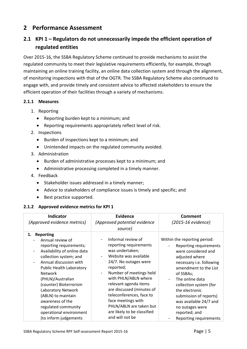## <span id="page-5-0"></span>**2 Performance Assessment**

## <span id="page-5-1"></span>**2.1 KPI 1 – Regulators do not unnecessarily impede the efficient operation of regulated entities**

Over 2015-16, the SSBA Regulatory Scheme continued to provide mechanisms to assist the regulated community to meet their legislative requirements efficiently, for example, through maintaining an online training facility, an online data collection system and through the alignment, of monitoring inspections with that of the OGTR. The SSBA Regulatory Scheme also continued to engage with, and provide timely and consistent advice to affected stakeholders to ensure the efficient operation of their facilities through a variety of mechanisms.

#### <span id="page-5-2"></span>**2.1.1 Measures**

- 1. Reporting
	- Reporting burden kept to a minimum; and
	- Reporting requirements appropriately reflect level of risk.
- 2. Inspections
	- Burden of inspections kept to a minimum; and
	- Unintended impacts on the regulated community avoided.
- 3. Administration
	- Burden of administrative processes kept to a minimum; and
	- Administrative processing completed in a timely manner.
- 4. Feedback
	- Stakeholder issues addressed in a timely manner;
	- Advice to stakeholders of compliance issues is timely and specific; and
	- Best practice supported.

#### <span id="page-5-3"></span>**2.1.2 Approved evidence metrics for KPI 1**

| <b>Indicator</b><br>(Approved evidence metrics)                                                                                                                                                                                                                                                                                                                                                                           | <b>Evidence</b><br>(Approved potential evidence<br>source)                                                                                                                                                                                                                                                                                                             | Comment<br>(2015-16 evidence)                                                                                                                                                                                                                                                                                                                      |
|---------------------------------------------------------------------------------------------------------------------------------------------------------------------------------------------------------------------------------------------------------------------------------------------------------------------------------------------------------------------------------------------------------------------------|------------------------------------------------------------------------------------------------------------------------------------------------------------------------------------------------------------------------------------------------------------------------------------------------------------------------------------------------------------------------|----------------------------------------------------------------------------------------------------------------------------------------------------------------------------------------------------------------------------------------------------------------------------------------------------------------------------------------------------|
| 1. Reporting<br>Annual review of<br>reporting requirements;<br>Availability of online data<br>$\overline{\phantom{a}}$<br>collection system; and<br>Annual discussion with<br><b>Public Health Laboratory</b><br><b>Network</b><br>(PHLN)/Australian<br>(counter) Bioterrorism<br>Laboratory Network<br>(ABLN) to maintain<br>awareness of the<br>regulated community<br>operational environment<br>(to inform judgements | Informal review of<br>reporting requirements<br>was undertaken;<br>Website was available<br>24/7. No outages were<br>reported;<br>Number of meetings held<br>with PHLN/ABLN where<br>relevant agenda items<br>are discussed (minutes of<br>teleconferences, face to<br>face meetings with<br>PHLN/ABLN are taken but<br>are likely to be classified<br>and will not be | Within the reporting period:<br>Reporting requirements<br>were considered and<br>adjusted where<br>necessary i.e. following<br>amendment to the List<br>of SSBAs;<br>The online data<br>collection system (for<br>the electronic<br>submission of reports)<br>was available 24/7 and<br>no outages were<br>reported; and<br>Reporting requirements |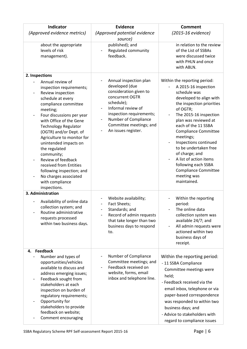| Indicator                                                                                                                                                                                                                                                                                                                                                                                                                                                                            | <b>Evidence</b>                                                                                                                                                                                                                                             | <b>Comment</b>                                                                                                                                                                                                                                                                                                                                                                                                                                  |
|--------------------------------------------------------------------------------------------------------------------------------------------------------------------------------------------------------------------------------------------------------------------------------------------------------------------------------------------------------------------------------------------------------------------------------------------------------------------------------------|-------------------------------------------------------------------------------------------------------------------------------------------------------------------------------------------------------------------------------------------------------------|-------------------------------------------------------------------------------------------------------------------------------------------------------------------------------------------------------------------------------------------------------------------------------------------------------------------------------------------------------------------------------------------------------------------------------------------------|
| (Approved evidence metrics)                                                                                                                                                                                                                                                                                                                                                                                                                                                          | (Approved potential evidence                                                                                                                                                                                                                                | (2015-16 evidence)                                                                                                                                                                                                                                                                                                                                                                                                                              |
|                                                                                                                                                                                                                                                                                                                                                                                                                                                                                      | source)                                                                                                                                                                                                                                                     |                                                                                                                                                                                                                                                                                                                                                                                                                                                 |
| about the appropriate<br>levels of risk<br>management).                                                                                                                                                                                                                                                                                                                                                                                                                              | published); and<br>Regulated community<br>feedback.                                                                                                                                                                                                         | in relation to the review<br>of the List of SSBAs<br>were discussed twice<br>with PHLN and once<br>with ABLN.                                                                                                                                                                                                                                                                                                                                   |
| 2. Inspections                                                                                                                                                                                                                                                                                                                                                                                                                                                                       |                                                                                                                                                                                                                                                             |                                                                                                                                                                                                                                                                                                                                                                                                                                                 |
| Annual review of<br>inspection requirements;<br>Review inspection<br>-<br>schedule at every<br>compliance committee<br>meeting;<br>Four discussions per year<br>-<br>with Office of the Gene<br><b>Technology Regulator</b><br>(OGTR) and/or Dept. of<br>Agriculture to monitor for<br>unintended impacts on<br>the regulated<br>community;<br>Review of feedback<br>received from Entities<br>following inspection; and<br>No charges associated<br>with compliance<br>inspections. | Annual inspection plan<br>developed (due<br>consideration given to<br>concurrent OGTR<br>schedule);<br>Informal review of<br>$\overline{\phantom{a}}$<br>inspection requirements;<br>Number of Compliance<br>Committee meetings; and<br>An issues register. | Within the reporting period:<br>A 2015-16 inspection<br>schedule was<br>developed to align with<br>the inspection priorities<br>of OGTR;<br>The 2015-16 inspection<br>plan was reviewed at<br>each of the 11 SSBA<br><b>Compliance Committee</b><br>meetings;<br>Inspections continued<br>to be undertaken free<br>of charge; and<br>A list of action items<br>following each SSBA<br><b>Compliance Committee</b><br>meeting was<br>maintained. |
| 3. Administration<br>Availability of online data<br>collection system; and<br>Routine administrative<br>requests processed<br>within two business days.                                                                                                                                                                                                                                                                                                                              | Website availability;<br>Fact Sheets;<br>Standards; and<br>Record of admin requests<br>that take longer than two<br>business days to respond<br>to.                                                                                                         | Within the reporting<br>period:<br>The online data<br>collection system was<br>available 24/7; and<br>All admin requests were<br>$\overline{\phantom{a}}$<br>actioned within two<br>business days of<br>receipt.                                                                                                                                                                                                                                |
| <b>Feedback</b><br>4.                                                                                                                                                                                                                                                                                                                                                                                                                                                                |                                                                                                                                                                                                                                                             |                                                                                                                                                                                                                                                                                                                                                                                                                                                 |
| Number and types of<br>opportunities/vehicles<br>available to discuss and<br>address emerging issues;<br>Feedback sought from<br>stakeholders at each<br>inspection on burden of<br>regulatory requirements;<br>Opportunity for<br>stakeholders to provide<br>feedback on website;<br>Comment encouraging                                                                                                                                                                            | Number of Compliance<br>Committee meetings; and<br>Feedback received on<br>website, forms, email<br>inbox and telephone line.                                                                                                                               | Within the reporting period:<br>- 11 SSBA Compliance<br>Committee meetings were<br>held;<br>- Feedback received via the<br>email inbox, telephone or via<br>paper-based correspondence<br>was responded to within two<br>business days; and<br>- Advice to stakeholders with<br>regard to compliance issues                                                                                                                                     |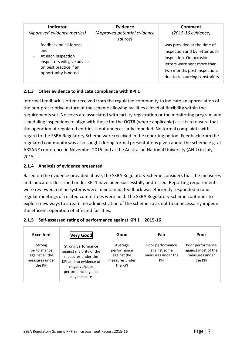| <b>Indicator</b><br>(Approved evidence metrics)                                                                                       | Evidence<br>(Approved potential evidence<br>source) | Comment<br>(2015-16 evidence)                                                                                                                                                            |
|---------------------------------------------------------------------------------------------------------------------------------------|-----------------------------------------------------|------------------------------------------------------------------------------------------------------------------------------------------------------------------------------------------|
| feedback on all forms;<br>and<br>At each inspection<br>inspectors will give advice<br>on best practice if an<br>opportunity is noted. |                                                     | was provided at the time of<br>inspection and by letter post-<br>inspection. On occasion<br>letters were sent more than<br>two months post-inspection,<br>due to resourcing constraints. |

#### <span id="page-7-0"></span>**2.1.3 Other evidence to indicate compliance with KPI 1**

Informal feedback is often received from the regulated community to indicate an appreciation of the non-prescriptive nature of the scheme allowing facilities a level of flexibility within the requirements set. No costs are associated with facility registration or the monitoring program and scheduling inspections to align with those for the OGTR (where applicable) assists to ensure that the operation of regulated entities is not unnecessarily impeded. No formal complaints with regard to the SSBA Regulatory Scheme were received in the reporting period. Feedback from the regulated community was also sought during formal presentations given about the scheme e.g. at ABSANZ conference in November 2015 and at the Australian National University (ANU) in July 2015.

#### <span id="page-7-1"></span>**2.1.4 Analysis of evidence presented**

Based on the evidence provided above, the SSBA Regulatory Scheme considers that the measures and indicators described under KPI 1 have been successfully addressed. Reporting requirements were reviewed, online systems were maintained, feedback was efficiently responded to and regular meetings of related committees were held. The SSBA Regulatory Scheme continues to explore new ways to streamline administration of the scheme so as not to unnecessarily impede the efficient operation of affected facilities.

| <b>Excellent</b>                                                      | <b>Very Good</b>                                                                                                                                     | Good                                                               | Fair                                                          | Poor                                                                 |
|-----------------------------------------------------------------------|------------------------------------------------------------------------------------------------------------------------------------------------------|--------------------------------------------------------------------|---------------------------------------------------------------|----------------------------------------------------------------------|
| Strong<br>performance<br>against all the<br>measures under<br>the KPI | Strong performance<br>against majority of the<br>measures under the<br>KPI and no evidence of<br>negative/poor<br>performance against<br>any measure | Average<br>performance<br>against the<br>measures under<br>the KPI | Poor performance<br>against some<br>measures under the<br>KPI | Poor performance<br>against most of the<br>measures under<br>the KPI |

#### <span id="page-7-2"></span>**2.1.5 Self-assessed rating of performance against KPI 1 – 2015-16**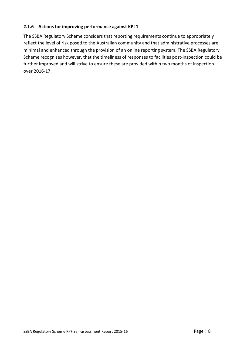#### <span id="page-8-0"></span>**2.1.6 Actions for improving performance against KPI 1**

The SSBA Regulatory Scheme considers that reporting requirements continue to appropriately reflect the level of risk posed to the Australian community and that administrative processes are minimal and enhanced through the provision of an online reporting system. The SSBA Regulatory Scheme recognises however, that the timeliness of responses to facilities post-inspection could be further improved and will strive to ensure these are provided within two months of inspection over 2016-17.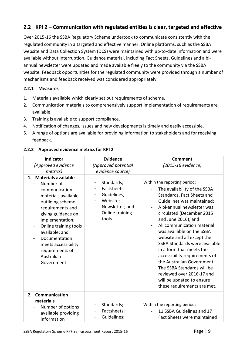## <span id="page-9-0"></span>**2.2 KPI 2 – Communication with regulated entities is clear, targeted and effective**

Over 2015-16 the SSBA Regulatory Scheme undertook to communicate consistently with the regulated community in a targeted and effective manner. Online platforms, such as the SSBA website and Data Collection System (DCS) were maintained with up-to-date information and were available without interruption. Guidance material, including Fact Sheets, Guidelines and a biannual newsletter were updated and made available freely to the community via the SSBA website. Feedback opportunities for the regulated community were provided through a number of mechanisms and feedback received was considered appropriately.

#### <span id="page-9-1"></span>**2.2.1 Measures**

- 1. Materials available which clearly set out requirements of scheme.
- 2. Communication materials to comprehensively support implementation of requirements are available.
- 3. Training is available to support compliance.
- 4. Notification of changes, issues and new developments is timely and easily accessible.
- 5. A range of options are available for providing information to stakeholders and for receiving feedback.

<span id="page-9-2"></span>

| 2.2.2 Approved evidence metrics for KPI 2 |
|-------------------------------------------|
|-------------------------------------------|

| Indicator                                                                                                                                                                                                                                                                                                                                        | <b>Evidence</b>                                                                                                                                                                  | <b>Comment</b><br>(2015-16 evidence)                                                                                                                                                                                                                                                                                                                                                                                                                                                                                                                                            |
|--------------------------------------------------------------------------------------------------------------------------------------------------------------------------------------------------------------------------------------------------------------------------------------------------------------------------------------------------|----------------------------------------------------------------------------------------------------------------------------------------------------------------------------------|---------------------------------------------------------------------------------------------------------------------------------------------------------------------------------------------------------------------------------------------------------------------------------------------------------------------------------------------------------------------------------------------------------------------------------------------------------------------------------------------------------------------------------------------------------------------------------|
| (Approved evidence                                                                                                                                                                                                                                                                                                                               | (Approved potential                                                                                                                                                              |                                                                                                                                                                                                                                                                                                                                                                                                                                                                                                                                                                                 |
| metrics)<br>1. Materials available<br>Number of<br>communication<br>materials available<br>outlining scheme<br>requirements and<br>giving guidance on<br>implementation;<br>Online training tools<br>-<br>available; and<br>Documentation<br>$\qquad \qquad \blacksquare$<br>meets accessibility<br>requirements of<br>Australian<br>Government. | evidence source)<br>Standards;<br>$\overline{\phantom{a}}$<br>Factsheets;<br>Guidelines;<br>Website;<br>$\overline{\phantom{a}}$<br>Newsletter; and<br>Online training<br>tools. | Within the reporting period:<br>The availability of the SSBA<br>Standards, Fact Sheets and<br>Guidelines was maintained;<br>A bi-annual newsletter was<br>$\overline{\phantom{a}}$<br>circulated (December 2015<br>and June 2016); and<br>All communication material<br>$\overline{\phantom{0}}$<br>was available on the SSBA<br>website and all except the<br>SSBA Standards were available<br>in a form that meets the<br>accessibility requirements of<br>the Australian Government.<br>The SSBA Standards will be<br>reviewed over 2016-17 and<br>will be updated to ensure |
|                                                                                                                                                                                                                                                                                                                                                  |                                                                                                                                                                                  | these requirements are met.                                                                                                                                                                                                                                                                                                                                                                                                                                                                                                                                                     |
| Communication<br>2.<br>materials<br>Number of options<br>available providing<br>information                                                                                                                                                                                                                                                      | Standards;<br>Factsheets;<br>Guidelines;<br>$\qquad \qquad \blacksquare$                                                                                                         | Within the reporting period:<br>11 SSBA Guidelines and 17<br><b>Fact Sheets were maintained</b>                                                                                                                                                                                                                                                                                                                                                                                                                                                                                 |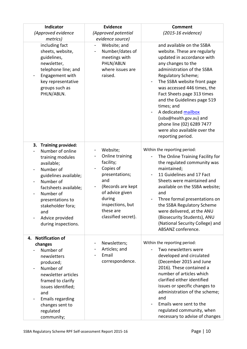| Indicator<br>(Approved evidence                                                                                                                                                                                                                                | <b>Evidence</b><br>(Approved potential                                                                                                                                                   | <b>Comment</b><br>(2015-16 evidence)                                                                                                                                                                                                                                                                                                                                                                                                            |  |
|----------------------------------------------------------------------------------------------------------------------------------------------------------------------------------------------------------------------------------------------------------------|------------------------------------------------------------------------------------------------------------------------------------------------------------------------------------------|-------------------------------------------------------------------------------------------------------------------------------------------------------------------------------------------------------------------------------------------------------------------------------------------------------------------------------------------------------------------------------------------------------------------------------------------------|--|
| metrics)                                                                                                                                                                                                                                                       | evidence source)                                                                                                                                                                         |                                                                                                                                                                                                                                                                                                                                                                                                                                                 |  |
| including fact<br>sheets, website,<br>guidelines,<br>newsletter,<br>telephone line; and<br>Engagement with<br>key representative<br>groups such as<br>PHLN/ABLN.                                                                                               | Website; and<br>Number/dates of<br>meetings with<br>PHLN/ABLN<br>where issues are<br>raised.                                                                                             | and available on the SSBA<br>website. These are regularly<br>updated in accordance with<br>any changes to the<br>administration of the SSBA<br>Regulatory Scheme;<br>The SSBA website front page<br>was accessed 446 times, the<br>Fact Sheets page 313 times<br>and the Guidelines page 519<br>times; and<br>A dedicated mailbox<br>(ssba@health.gov.au) and<br>phone line (02) 6289 7477<br>were also available over the<br>reporting period. |  |
| 3. Training provided:<br>Number of online<br>training modules<br>available;<br>Number of<br>guidelines available;<br>Number of<br>factsheets available;<br>Number of<br>presentations to<br>stakeholder fora;<br>and<br>Advice provided<br>during inspections. | Website;<br>Online training<br>facility;<br>Copies of<br>presentations;<br>and<br>(Records are kept<br>of advice given<br>during<br>inspections, but<br>these are<br>classified secret). | Within the reporting period:<br>The Online Training Facility for<br>the regulated community was<br>maintained;<br>11 Guidelines and 17 Fact<br>Sheets were maintained and<br>available on the SSBA website;<br>and<br>Three formal presentations on<br>the SSBA Regulatory Scheme<br>were delivered, at the ANU<br>(Biosecurity Students), ANU<br>(National Security College) and<br>ABSANZ conference.                                         |  |
| 4. Notification of<br>changes<br>Number of<br>newsletters<br>produced;<br>Number of<br>newsletter articles<br>framed to clarify<br>issues identified;<br>and<br><b>Emails regarding</b><br>changes sent to<br>regulated<br>community;                          | Newsletters;<br>Articles; and<br>Email<br>correspondence.                                                                                                                                | Within the reporting period:<br>Two newsletters were<br>developed and circulated<br>(December 2015 and June<br>2016). These contained a<br>number of articles which<br>clarified either identified<br>issues or specific changes to<br>administration of the scheme;<br>and<br>Emails were sent to the<br>regulated community, when<br>necessary to advise of changes                                                                           |  |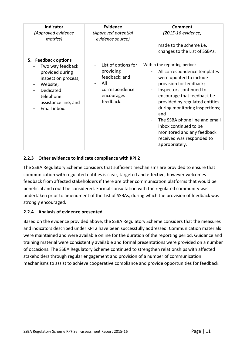| <b>Indicator</b><br>(Approved evidence<br>metrics)                                                                                                              | <b>Evidence</b><br>(Approved potential<br>evidence source)                                            | Comment<br>(2015-16 evidence)<br>made to the scheme i.e.                                                                                                                                                                                                                                                                                                                                      |
|-----------------------------------------------------------------------------------------------------------------------------------------------------------------|-------------------------------------------------------------------------------------------------------|-----------------------------------------------------------------------------------------------------------------------------------------------------------------------------------------------------------------------------------------------------------------------------------------------------------------------------------------------------------------------------------------------|
|                                                                                                                                                                 |                                                                                                       | changes to the List of SSBAs.                                                                                                                                                                                                                                                                                                                                                                 |
| 5. Feedback options<br>Two way feedback<br>provided during<br>inspection process;<br>Website;<br>Dedicated<br>telephone<br>assistance line; and<br>Email inbox. | List of options for<br>providing<br>feedback; and<br>All<br>correspondence<br>encourages<br>feedback. | Within the reporting period:<br>All correspondence templates<br>were updated to include<br>provision for feedback;<br>Inspectors continued to<br>encourage that feedback be<br>provided by regulated entities<br>during monitoring inspections;<br>and<br>The SSBA phone line and email<br>inbox continued to be<br>monitored and any feedback<br>received was responded to<br>appropriately. |

#### <span id="page-11-0"></span>**2.2.3 Other evidence to indicate compliance with KPI 2**

The SSBA Regulatory Scheme considers that sufficient mechanisms are provided to ensure that communication with regulated entities is clear, targeted and effective, however welcomes feedback from affected stakeholders if there are other communication platforms that would be beneficial and could be considered. Formal consultation with the regulated community was undertaken prior to amendment of the List of SSBAs, during which the provision of feedback was strongly encouraged.

#### <span id="page-11-1"></span>**2.2.4 Analysis of evidence presented**

Based on the evidence provided above, the SSBA Regulatory Scheme considers that the measures and indicators described under KPI 2 have been successfully addressed. Communication materials were maintained and were available online for the duration of the reporting period. Guidance and training material were consistently available and formal presentations were provided on a number of occasions. The SSBA Regulatory Scheme continued to strengthen relationships with affected stakeholders through regular engagement and provision of a number of communication mechanisms to assist to achieve cooperative compliance and provide opportunities for feedback.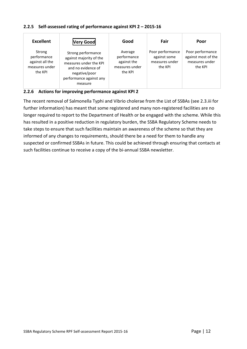#### <span id="page-12-0"></span>**2.2.5 Self-assessed rating of performance against KPI 2 – 2015-16**

| <b>Excellent</b>                                                      | <b>Very Good</b>                                                                                                                                     | Good                                                               | Fair                                                          | Poor                                                                 |
|-----------------------------------------------------------------------|------------------------------------------------------------------------------------------------------------------------------------------------------|--------------------------------------------------------------------|---------------------------------------------------------------|----------------------------------------------------------------------|
| Strong<br>performance<br>against all the<br>measures under<br>the KPI | Strong performance<br>against majority of the<br>measures under the KPI<br>and no evidence of<br>negative/poor<br>performance against any<br>measure | Average<br>performance<br>against the<br>measures under<br>the KPI | Poor performance<br>against some<br>measures under<br>the KPI | Poor performance<br>against most of the<br>measures under<br>the KPI |

<span id="page-12-1"></span>**2.2.6 Actions for improving performance against KPI 2**

The recent removal of Salmonella Typhi and Vibrio cholerae from the List of SSBAs (see 2.3.iii for further information) has meant that some registered and many non-registered facilities are no longer required to report to the Department of Health or be engaged with the scheme. While this has resulted in a positive reduction in regulatory burden, the SSBA Regulatory Scheme needs to take steps to ensure that such facilities maintain an awareness of the scheme so that they are informed of any changes to requirements, should there be a need for them to handle any suspected or confirmed SSBAs in future. This could be achieved through ensuring that contacts at such facilities continue to receive a copy of the bi-annual SSBA newsletter.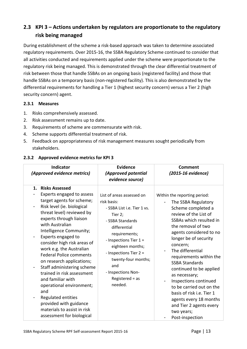# <span id="page-13-0"></span>**2.3 KPI 3 – Actions undertaken by regulators are proportionate to the regulatory risk being managed**

During establishment of the scheme a risk-based approach was taken to determine associated regulatory requirements. Over 2015-16, the SSBA Regulatory Scheme continued to consider that all activities conducted and requirements applied under the scheme were proportionate to the regulatory risk being managed. This is demonstrated through the clear differential treatment of risk between those that handle SSBAs on an ongoing basis (registered facility) and those that handle SSBAs on a temporary basis (non-registered facility). This is also demonstrated by the differential requirements for handling a Tier 1 (highest security concern) versus a Tier 2 (high security concern) agent.

#### <span id="page-13-1"></span>**2.3.1 Measures**

- 1. Risks comprehensively assessed.
- 2. Risk assessment remains up to date.
- 3. Requirements of scheme are commensurate with risk.
- 4. Scheme supports differential treatment of risk.
- 5. Feedback on appropriateness of risk management measures sought periodically from stakeholders.

#### <span id="page-13-2"></span>**2.3.2 Approved evidence metrics for KPI 3**

| <b>Indicator</b><br>(Approved evidence metrics)                                                                                                                                                                                                                                                                                                                                                                                                                                                                                                                                                                          | <b>Evidence</b><br>(Approved potential<br>evidence source)                                                                                                                                                                                                                                            | <b>Comment</b><br>(2015-16 evidence)                                                                                                                                                                                                                                                                                                                                                                                                                                                                            |
|--------------------------------------------------------------------------------------------------------------------------------------------------------------------------------------------------------------------------------------------------------------------------------------------------------------------------------------------------------------------------------------------------------------------------------------------------------------------------------------------------------------------------------------------------------------------------------------------------------------------------|-------------------------------------------------------------------------------------------------------------------------------------------------------------------------------------------------------------------------------------------------------------------------------------------------------|-----------------------------------------------------------------------------------------------------------------------------------------------------------------------------------------------------------------------------------------------------------------------------------------------------------------------------------------------------------------------------------------------------------------------------------------------------------------------------------------------------------------|
| <b>Risks Assessed</b><br>1.<br>Experts engaged to assess<br>target agents for scheme;<br>Risk level (ie. biological<br>-<br>threat level) reviewed by<br>experts through liaison<br>with Australian<br>Intelligence Community;<br>Experts engaged to<br>-<br>consider high risk areas of<br>work e.g. the Australian<br><b>Federal Police comments</b><br>on research applications;<br>Staff administering scheme<br>-<br>trained in risk assessment<br>and familiar with<br>operational environment;<br>and<br>Regulated entities<br>provided with guidance<br>materials to assist in risk<br>assessment for biological | List of areas assessed on<br>risk basis:<br>- SSBA List i.e. Tier 1 vs.<br>Tier 2;<br>- SSBA Standards<br>differential<br>requirements;<br>- Inspections Tier $1 =$<br>eighteen months;<br>- Inspections Tier 2 =<br>twenty-four months;<br>and<br>- Inspections Non-<br>Registered $=$ as<br>needed. | Within the reporting period:<br>The SSBA Regulatory<br>Scheme completed a<br>review of the List of<br>SSBAs which resulted in<br>the removal of two<br>agents considered to no<br>longer be of security<br>concern;<br>The differential<br>requirements within the<br><b>SSBA Standards</b><br>continued to be applied<br>as necessary;<br>Inspections continued<br>to be carried out on the<br>basis of risk i.e. Tier 1<br>agents every 18 months<br>and Tier 2 agents every<br>two years;<br>Post-inspection |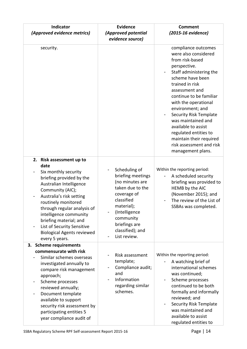| Indicator<br>(Approved evidence metrics)                                                                                                                                                                                                                                                                                                                       | <b>Evidence</b><br>(Approved potential<br>evidence source)                                                                                                                                              | <b>Comment</b><br>(2015-16 evidence)                                                                                                                                                                                                                                                                                                                                                                                         |
|----------------------------------------------------------------------------------------------------------------------------------------------------------------------------------------------------------------------------------------------------------------------------------------------------------------------------------------------------------------|---------------------------------------------------------------------------------------------------------------------------------------------------------------------------------------------------------|------------------------------------------------------------------------------------------------------------------------------------------------------------------------------------------------------------------------------------------------------------------------------------------------------------------------------------------------------------------------------------------------------------------------------|
| security.                                                                                                                                                                                                                                                                                                                                                      |                                                                                                                                                                                                         | compliance outcomes<br>were also considered<br>from risk-based<br>perspective.<br>Staff administering the<br>scheme have been<br>trained in risk<br>assessment and<br>continue to be familiar<br>with the operational<br>environment; and<br><b>Security Risk Template</b><br>was maintained and<br>available to assist<br>regulated entities to<br>maintain their required<br>risk assessment and risk<br>management plans. |
| 2. Risk assessment up to<br>date<br>Six monthly security<br>briefing provided by the<br>Australian Intelligence<br>Community (AIC);<br>Australia's risk setting<br>routinely monitored<br>through regular analysis of<br>intelligence community<br>briefing material; and<br>List of Security Sensitive<br><b>Biological Agents reviewed</b><br>every 5 years. | Scheduling of<br>briefing meetings<br>(no minutes are<br>taken due to the<br>coverage of<br>classified<br>material);<br>(Intelligence<br>community<br>briefings are<br>classified); and<br>List review. | Within the reporting period:<br>A scheduled security<br>briefing was provided to<br>HEMB by the AIC<br>(November 2015); and<br>The review of the List of<br>SSBAs was completed.                                                                                                                                                                                                                                             |
| 3. Scheme requirements<br>commensurate with risk<br>Similar schemes overseas<br>investigated annually to<br>compare risk management<br>approach;<br>Scheme processes<br>reviewed annually;<br>Document template<br>available to support<br>security risk assessment by<br>participating entities 5<br>year compliance audit of                                 | Risk assessment<br>template;<br>Compliance audit;<br>and<br>Information<br>regarding similar<br>schemes.                                                                                                | Within the reporting period:<br>A watching brief of<br>international schemes<br>was continued;<br>Scheme processes<br>continued to be both<br>formally and informally<br>reviewed; and<br><b>Security Risk Template</b><br>was maintained and<br>available to assist<br>regulated entities to                                                                                                                                |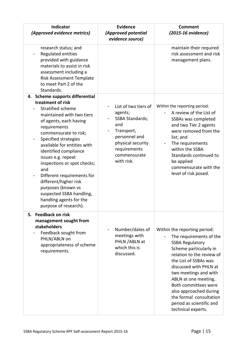| <b>Indicator</b><br>(Approved evidence metrics)                                                                                                                                                                                                                                                                                                                                                                                                                                           | <b>Evidence</b><br>(Approved potential<br>evidence source)                                                                                                         | <b>Comment</b><br>(2015-16 evidence)                                                                                                                                                                                                                                                                                                                                        |
|-------------------------------------------------------------------------------------------------------------------------------------------------------------------------------------------------------------------------------------------------------------------------------------------------------------------------------------------------------------------------------------------------------------------------------------------------------------------------------------------|--------------------------------------------------------------------------------------------------------------------------------------------------------------------|-----------------------------------------------------------------------------------------------------------------------------------------------------------------------------------------------------------------------------------------------------------------------------------------------------------------------------------------------------------------------------|
| research status; and<br>Regulated entities<br>provided with guidance<br>materials to assist in risk<br>assessment including a<br>Risk Assessment Template<br>to meet Part 2 of the<br>Standards.                                                                                                                                                                                                                                                                                          |                                                                                                                                                                    | maintain their required<br>risk assessment and risk<br>management plans.                                                                                                                                                                                                                                                                                                    |
| 4. Scheme supports differential<br>treatment of risk<br><b>Stratified scheme</b><br>maintained with two tiers<br>of agents, each having<br>requirements<br>commensurate to risk;<br>Specified strategies<br>available for entities with<br>identified compliance<br>issues e.g. repeat<br>inspections or spot checks;<br>and<br>Different requirements for<br>different/higher risk<br>purposes (known vs<br>suspected SSBA handling,<br>handling agents for the<br>purpose of research). | List of two tiers of<br>agents;<br><b>SSBA Standards;</b><br>and<br>Transport,<br>personnel and<br>physical security<br>requirements<br>commensurate<br>with risk. | Within the reporting period:<br>A review of the List of<br>SSBAs was completed<br>and two Tier 2 agents<br>were removed from the<br>list; and<br>The requirements<br>within the SSBA<br>Standards continued to<br>be applied<br>commensurate with the<br>level of risk posed.                                                                                               |
| 5. Feedback on risk<br>management sought from<br><b>stakeholders</b><br>Feedback sought from<br>PHLN/ABLN on<br>appropriateness of scheme<br>requirements.                                                                                                                                                                                                                                                                                                                                | Number/dates of<br>meetings with<br>PHLN / ABLN at<br>which this is<br>discussed.                                                                                  | Within the reporting period:<br>The requirements of the<br><b>SSBA Regulatory</b><br>Scheme particularly in<br>relation to the review of<br>the List of SSBAs was<br>discussed with PHLN at<br>two meetings and with<br>ABLN at one meeting.<br>Both committees were<br>also approached during<br>the formal consultation<br>period as scientific and<br>technical experts. |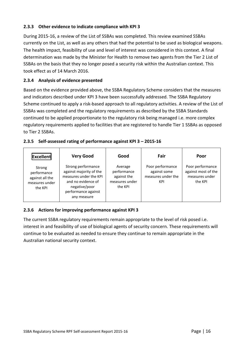#### <span id="page-16-0"></span>**2.3.3 Other evidence to indicate compliance with KPI 3**

During 2015-16, a review of the List of SSBAs was completed. This review examined SSBAs currently on the List, as well as any others that had the potential to be used as biological weapons. The health impact, feasibility of use and level of interest was considered in this context. A final determination was made by the Minister for Health to remove two agents from the Tier 2 List of SSBAs on the basis that they no longer posed a security risk within the Australian context. This took effect as of 14 March 2016.

#### <span id="page-16-1"></span>**2.3.4 Analysis of evidence presented**

Based on the evidence provided above, the SSBA Regulatory Scheme considers that the measures and indicators described under KPI 3 have been successfully addressed. The SSBA Regulatory Scheme continued to apply a risk-based approach to all regulatory activities. A review of the List of SSBAs was completed and the regulatory requirements as described by the SSBA Standards continued to be applied proportionate to the regulatory risk being managed i.e. more complex regulatory requirements applied to facilities that are registered to handle Tier 1 SSBAs as opposed to Tier 2 SSBAs.

#### <span id="page-16-2"></span>**2.3.5 Self-assessed rating of performance against KPI 3 – 2015-16**

| Excellent                                                             | <b>Very Good</b>                                                                                                                                     | Good                                                               | Fair                                                          | Poor                                                                 |
|-----------------------------------------------------------------------|------------------------------------------------------------------------------------------------------------------------------------------------------|--------------------------------------------------------------------|---------------------------------------------------------------|----------------------------------------------------------------------|
| Strong<br>performance<br>against all the<br>measures under<br>the KPI | Strong performance<br>against majority of the<br>measures under the KPI<br>and no evidence of<br>negative/poor<br>performance against<br>any measure | Average<br>performance<br>against the<br>measures under<br>the KPI | Poor performance<br>against some<br>measures under the<br>KPI | Poor performance<br>against most of the<br>measures under<br>the KPI |

#### <span id="page-16-3"></span>**2.3.6 Actions for improving performance against KPI 3**

The current SSBA regulatory requirements remain appropriate to the level of risk posed i.e. interest in and feasibility of use of biological agents of security concern. These requirements will continue to be evaluated as needed to ensure they continue to remain appropriate in the Australian national security context.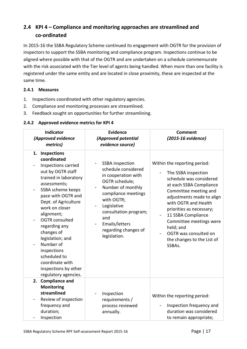# <span id="page-17-0"></span>**2.4 KPI 4 – Compliance and monitoring approaches are streamlined and co-ordinated**

In 2015-16 the SSBA Regulatory Scheme continued its engagement with OGTR for the provision of inspectors to support the SSBA monitoring and compliance program. Inspections continue to be aligned where possible with that of the OGTR and are undertaken on a schedule commensurate with the risk associated with the Tier level of agents being handled. When more than one facility is registered under the same entity and are located in close proximity, these are inspected at the same time.

#### <span id="page-17-1"></span>**2.4.1 Measures**

- 1. Inspections coordinated with other regulatory agencies.
- 2. Compliance and monitoring processes are streamlined.
- 3. Feedback sought on opportunities for further streamlining.

#### <span id="page-17-2"></span>**2.4.2 Approved evidence metrics for KPI 4**

| Indicator<br>(Approved evidence<br>metrics)                                                                                                                                                                                                                                                                                                                                                                                | <b>Evidence</b><br>(Approved potential<br>evidence source)                                                                                                                                                                                                                                                                                    | <b>Comment</b><br>(2015-16 evidence)                                                                                                                                                                                                                                                                                                               |
|----------------------------------------------------------------------------------------------------------------------------------------------------------------------------------------------------------------------------------------------------------------------------------------------------------------------------------------------------------------------------------------------------------------------------|-----------------------------------------------------------------------------------------------------------------------------------------------------------------------------------------------------------------------------------------------------------------------------------------------------------------------------------------------|----------------------------------------------------------------------------------------------------------------------------------------------------------------------------------------------------------------------------------------------------------------------------------------------------------------------------------------------------|
| <b>Inspections</b><br>1.<br>coordinated<br>Inspections carried<br>out by OGTR staff<br>trained in laboratory<br>assessments;<br>SSBA scheme keeps<br>pace with OGTR and<br>Dept. of Agriculture<br>work on closer<br>alignment;<br><b>OGTR</b> consulted<br>regarding any<br>changes of<br>legislation; and<br>Number of<br>inspections<br>scheduled to<br>coordinate with<br>inspections by other<br>regulatory agencies. | <b>SSBA</b> inspection<br>schedule considered<br>in cooperation with<br>OGTR schedule;<br>Number of monthly<br>$\overline{\phantom{a}}$<br>compliance meetings<br>with OGTR;<br>Legislative<br>$\overline{\phantom{a}}$<br>consultation program;<br>and<br>Emails/letters<br>$\overline{\phantom{a}}$<br>regarding changes of<br>legislation. | Within the reporting period:<br>The SSBA inspection<br>schedule was considered<br>at each SSBA Compliance<br>Committee meeting and<br>adjustments made to align<br>with OGTR and Health<br>priorities as necessary;<br>11 SSBA Compliance<br>Committee meetings were<br>held; and<br>OGTR was consulted on<br>the changes to the List of<br>SSBAs. |
| 2. Compliance and<br><b>Monitoring</b><br>streamlined                                                                                                                                                                                                                                                                                                                                                                      | Inspection                                                                                                                                                                                                                                                                                                                                    |                                                                                                                                                                                                                                                                                                                                                    |
| Review of inspection<br>-<br>frequency and<br>duration;                                                                                                                                                                                                                                                                                                                                                                    | requirements /<br>process reviewed<br>annually.                                                                                                                                                                                                                                                                                               | Within the reporting period:<br>Inspection frequency and<br>duration was considered                                                                                                                                                                                                                                                                |
| Inspection                                                                                                                                                                                                                                                                                                                                                                                                                 |                                                                                                                                                                                                                                                                                                                                               | to remain appropriate;                                                                                                                                                                                                                                                                                                                             |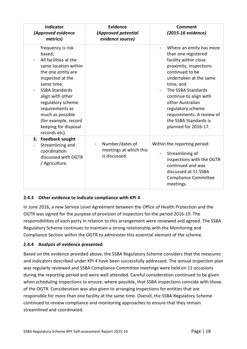| <b>Indicator</b><br>(Approved evidence<br>metrics)                                                                                                                                                                                                                                                             | <b>Evidence</b><br>(Approved potential<br>evidence source) | Comment<br>(2015-16 evidence)                                                                                                                                                                                                                                                                                                       |
|----------------------------------------------------------------------------------------------------------------------------------------------------------------------------------------------------------------------------------------------------------------------------------------------------------------|------------------------------------------------------------|-------------------------------------------------------------------------------------------------------------------------------------------------------------------------------------------------------------------------------------------------------------------------------------------------------------------------------------|
| frequency is risk<br>based;<br>All facilities at the<br>same location within<br>the one entity are<br>inspected at the<br>same time;<br><b>SSBA Standards</b><br>align with other<br>regulatory scheme<br>requirements as<br>much as possible<br>(for example, record<br>keeping for disposal<br>records etc). |                                                            | Where an entity has more<br>than one registered<br>facility within close<br>proximity, inspections<br>continued to be<br>undertaken at the same<br>time; and<br>The SSBA Standards<br>continue to align with<br>other Australian<br>regulatory scheme<br>requirements. A review of<br>the SSBA Standards is<br>planned for 2016-17. |
| 3. Feedback sought<br>Streamlining and<br>coordination<br>discussed with OGTR<br>/ Agriculture.                                                                                                                                                                                                                | Number/dates of<br>meetings at which this<br>is discussed. | Within the reporting period:<br>Streamlining of<br>inspections with the OGTR<br>continued and was<br>discussed at 11 SSBA<br><b>Compliance Committee</b><br>meetings.                                                                                                                                                               |

#### <span id="page-18-0"></span>**2.4.3 Other evidence to indicate compliance with KPI 4**

In June 2016, a new Service Level Agreement between the Office of Health Protection and the OGTR was signed for the purpose of provision of inspectors for the period 2016-19. The responsibilities of each party in relation to this arrangement were reviewed and agreed. The SSBA Regulatory Scheme continues to maintain a strong relationship with the Monitoring and Compliance Section within the OGTR to administer this essential element of the scheme.

#### <span id="page-18-1"></span>**2.4.4 Analysis of evidence presented**

Based on the evidence provided above, the SSBA Regulatory Scheme considers that the measures and indicators described under KPI 4 have been successfully addressed. The annual inspection plan was regularly reviewed and SSBA Compliance Committee meetings were held on 11 occasions during the reporting period and were well attended. Careful consideration continued to be given when scheduling inspections to ensure, where possible, that SSBA inspections coincide with those of the OGTR. Consideration was also given to arranging inspections for entities that are responsible for more than one facility at the same time. Overall, the SSBA Regulatory Scheme continued to review compliance and monitoring approaches to ensure that they remain streamlined and coordinated.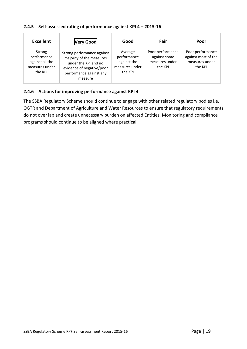#### <span id="page-19-0"></span>**2.4.5 Self-assessed rating of performance against KPI 4 – 2015-16**

| <b>Excellent</b>                                                      | <b>Very Good</b>                                                                                                                                  | Good                                                               | Fair                                                          | Poor                                                                 |
|-----------------------------------------------------------------------|---------------------------------------------------------------------------------------------------------------------------------------------------|--------------------------------------------------------------------|---------------------------------------------------------------|----------------------------------------------------------------------|
| Strong<br>performance<br>against all the<br>measures under<br>the KPI | Strong performance against<br>majority of the measures<br>under the KPI and no<br>evidence of negative/poor<br>performance against any<br>measure | Average<br>performance<br>against the<br>measures under<br>the KPI | Poor performance<br>against some<br>measures under<br>the KPI | Poor performance<br>against most of the<br>measures under<br>the KPI |

#### <span id="page-19-1"></span>**2.4.6 Actions for improving performance against KPI 4**

The SSBA Regulatory Scheme should continue to engage with other related regulatory bodies i.e. OGTR and Department of Agriculture and Water Resources to ensure that regulatory requirements do not over lap and create unnecessary burden on affected Entities. Monitoring and compliance programs should continue to be aligned where practical.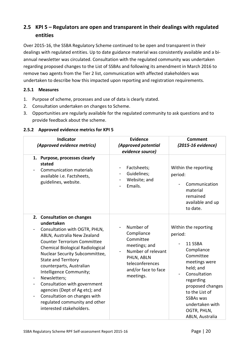# <span id="page-20-0"></span>**2.5 KPI 5 – Regulators are open and transparent in their dealings with regulated entities**

Over 2015-16, the SSBA Regulatory Scheme continued to be open and transparent in their dealings with regulated entities. Up to date guidance material was consistently available and a biannual newsletter was circulated. Consultation with the regulated community was undertaken regarding proposed changes to the List of SSBAs and following its amendment in March 2016 to remove two agents from the Tier 2 list, communication with affected stakeholders was undertaken to describe how this impacted upon reporting and registration requirements.

#### <span id="page-20-1"></span>**2.5.1 Measures**

- 1. Purpose of scheme, processes and use of data is clearly stated.
- 2. Consultation undertaken on changes to Scheme.
- 3. Opportunities are regularly available for the regulated community to ask questions and to provide feedback about the scheme.

| <b>Indicator</b><br>(Approved evidence metrics)                                                                                                                                                                                                                                                                                                                                                                                                                                                                                                       | <b>Evidence</b><br>(Approved potential<br>evidence source)                                                                                       | <b>Comment</b><br>(2015-16 evidence)                                                                                                                                                                                                            |
|-------------------------------------------------------------------------------------------------------------------------------------------------------------------------------------------------------------------------------------------------------------------------------------------------------------------------------------------------------------------------------------------------------------------------------------------------------------------------------------------------------------------------------------------------------|--------------------------------------------------------------------------------------------------------------------------------------------------|-------------------------------------------------------------------------------------------------------------------------------------------------------------------------------------------------------------------------------------------------|
| 1. Purpose, processes clearly<br>stated<br><b>Communication materials</b><br>available i.e. Factsheets,<br>guidelines, website.                                                                                                                                                                                                                                                                                                                                                                                                                       | Factsheets;<br>Guidelines;<br>Website; and<br>Emails.                                                                                            | Within the reporting<br>period:<br>Communication<br>material<br>remained<br>available and up<br>to date.                                                                                                                                        |
| 2. Consultation on changes<br>undertaken<br>Consultation with OGTR, PHLN,<br>ABLN, Australia New Zealand<br><b>Counter Terrorism Committee</b><br>Chemical Biological Radiological<br>Nuclear Security Subcommittee,<br><b>State and Territory</b><br>counterparts, Australian<br>Intelligence Community;<br>Newsletters;<br>۰<br>Consultation with government<br>$\overline{\phantom{a}}$<br>agencies (Dept of Ag etc); and<br>Consultation on changes with<br>$\overline{\phantom{a}}$<br>regulated community and other<br>interested stakeholders. | Number of<br>Compliance<br>Committee<br>meetings; and<br>Number of relevant<br>PHLN, ABLN<br>teleconferences<br>and/or face to face<br>meetings. | Within the reporting<br>period:<br>11 SSBA<br>Compliance<br>Committee<br>meetings were<br>held; and<br>Consultation<br>regarding<br>proposed changes<br>to the List of<br><b>SSBAs was</b><br>undertaken with<br>OGTR, PHLN,<br>ABLN, Australia |

#### <span id="page-20-2"></span>**2.5.2 Approved evidence metrics for KPI 5**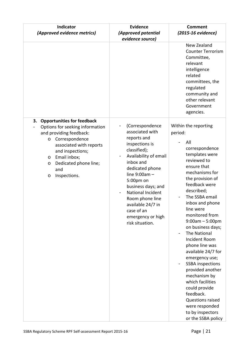| Indicator<br>(Approved evidence metrics)                                                                                                                                                                                                                                           | <b>Evidence</b><br>(Approved potential<br>evidence source)                                                                                                                                                                                                                                                                   | <b>Comment</b><br>(2015-16 evidence)                                                                                                                                                                                                                                                                                                                                                                                                                                                                                                                                                                  |
|------------------------------------------------------------------------------------------------------------------------------------------------------------------------------------------------------------------------------------------------------------------------------------|------------------------------------------------------------------------------------------------------------------------------------------------------------------------------------------------------------------------------------------------------------------------------------------------------------------------------|-------------------------------------------------------------------------------------------------------------------------------------------------------------------------------------------------------------------------------------------------------------------------------------------------------------------------------------------------------------------------------------------------------------------------------------------------------------------------------------------------------------------------------------------------------------------------------------------------------|
|                                                                                                                                                                                                                                                                                    |                                                                                                                                                                                                                                                                                                                              | New Zealand<br><b>Counter Terrorism</b><br>Committee,<br>relevant<br>intelligence<br>related<br>committees, the<br>regulated<br>community and<br>other relevant<br>Government<br>agencies.                                                                                                                                                                                                                                                                                                                                                                                                            |
| 3.<br><b>Opportunities for feedback</b><br>Options for seeking information<br>and providing feedback:<br>Correspondence<br>$\circ$<br>associated with reports<br>and inspections;<br>Email inbox;<br>$\circ$<br>Dedicated phone line;<br>$\circ$<br>and<br>Inspections.<br>$\circ$ | (Correspondence<br>associated with<br>reports and<br>inspections is<br>classified);<br>Availability of email<br>inbox and<br>dedicated phone<br>line $9:00am -$<br>5:00pm on<br>business days; and<br><b>National Incident</b><br>Room phone line<br>available 24/7 in<br>case of an<br>emergency or high<br>risk situation. | Within the reporting<br>period:<br>All<br>correspondence<br>templates were<br>reviewed to<br>ensure that<br>mechanisms for<br>the provision of<br>feedback were<br>described;<br>The SSBA email<br>inbox and phone<br>line were<br>monitored from<br>$9:00am - 5:00pm$<br>on business days;<br>The National<br><b>Incident Room</b><br>phone line was<br>available 24/7 for<br>emergency use;<br><b>SSBA</b> inspections<br>provided another<br>mechanism by<br>which facilities<br>could provide<br>feedback.<br><b>Questions raised</b><br>were responded<br>to by inspectors<br>or the SSBA policy |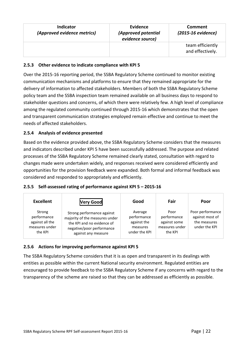| <b>Indicator</b><br>(Approved evidence metrics) | Evidence<br>(Approved potential<br>evidence source) | Comment<br>(2015-16 evidence)        |
|-------------------------------------------------|-----------------------------------------------------|--------------------------------------|
|                                                 |                                                     | team efficiently<br>and effectively. |

#### <span id="page-22-0"></span>**2.5.3 Other evidence to indicate compliance with KPI 5**

Over the 2015-16 reporting period, the SSBA Regulatory Scheme continued to monitor existing communication mechanisms and platforms to ensure that they remained appropriate for the delivery of information to affected stakeholders. Members of both the SSBA Regulatory Scheme policy team and the SSBA inspection team remained available on all business days to respond to stakeholder questions and concerns, of which there were relatively few. A high level of compliance among the regulated community continued through 2015-16 which demonstrates that the open and transparent communication strategies employed remain effective and continue to meet the needs of affected stakeholders.

#### <span id="page-22-1"></span>**2.5.4 Analysis of evidence presented**

Based on the evidence provided above, the SSBA Regulatory Scheme considers that the measures and indicators described under KPI 5 have been successfully addressed. The purpose and related processes of the SSBA Regulatory Scheme remained clearly stated, consultation with regard to changes made were undertaken widely, and responses received were considered efficiently and opportunities for the provision feedback were expanded. Both formal and informal feedback was considered and responded to appropriately and efficiently.

#### <span id="page-22-2"></span>**2.5.5 Self-assessed rating of performance against KPI 5 – 2015-16**

| <b>Excellent</b>                                                      | <b>Very Good</b>                                                                                                                               | Good                                                               | Fair                                                             | Poor                                                                 |
|-----------------------------------------------------------------------|------------------------------------------------------------------------------------------------------------------------------------------------|--------------------------------------------------------------------|------------------------------------------------------------------|----------------------------------------------------------------------|
| Strong<br>performance<br>against all the<br>measures under<br>the KPI | Strong performance against<br>majority of the measures under<br>the KPI and no evidence of<br>negative/poor performance<br>against any measure | Average<br>performance<br>against the<br>measures<br>under the KPI | Poor<br>performance<br>against some<br>measures under<br>the KPI | Poor performance<br>against most of<br>the measures<br>under the KPI |

#### <span id="page-22-3"></span>**2.5.6 Actions for improving performance against KPI 5**

The SSBA Regulatory Scheme considers that it is as open and transparent in its dealings with entities as possible within the current National security environment. Regulated entities are encouraged to provide feedback to the SSBA Regulatory Scheme if any concerns with regard to the transparency of the scheme are raised so that they can be addressed as efficiently as possible.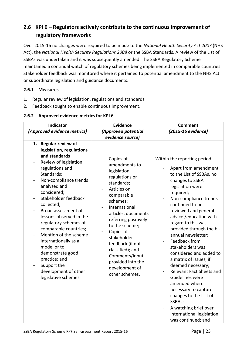# <span id="page-23-0"></span>**2.6 KPI 6 – Regulators actively contribute to the continuous improvement of regulatory frameworks**

Over 2015-16 no changes were required to be made to the *National Health Security Act 2007* (NHS Act), the *National Health Security Regulations 2008* or the SSBA Standards. A review of the List of SSBAs was undertaken and it was subsequently amended. The SSBA Regulatory Scheme maintained a continual watch of regulatory schemes being implemented in comparable countries. Stakeholder feedback was monitored where it pertained to potential amendment to the NHS Act or subordinate legislation and guidance documents.

#### <span id="page-23-1"></span>**2.6.1 Measures**

- 1. Regular review of legislation, regulations and standards.
- 2. Feedback sought to enable continuous improvement.

#### <span id="page-23-2"></span>**2.6.2 Approved evidence metrics for KPI 6**

| Indicator<br>(Approved evidence metrics)                                                                                                                                                                                                                                                                                                                                                                                                                                                                                                               | <b>Evidence</b><br>(Approved potential<br>evidence source)                                                                                                                                                                                                                                                                                           | <b>Comment</b><br>(2015-16 evidence)                                                                                                                                                                                                                                                                                                                                                                                                                                                                                                                                                                                               |
|--------------------------------------------------------------------------------------------------------------------------------------------------------------------------------------------------------------------------------------------------------------------------------------------------------------------------------------------------------------------------------------------------------------------------------------------------------------------------------------------------------------------------------------------------------|------------------------------------------------------------------------------------------------------------------------------------------------------------------------------------------------------------------------------------------------------------------------------------------------------------------------------------------------------|------------------------------------------------------------------------------------------------------------------------------------------------------------------------------------------------------------------------------------------------------------------------------------------------------------------------------------------------------------------------------------------------------------------------------------------------------------------------------------------------------------------------------------------------------------------------------------------------------------------------------------|
| <b>Regular review of</b><br>1.<br>legislation, regulations<br>and standards<br>Review of legislation,<br>-<br>regulations and<br>Standards;<br>Non-compliance trends<br>analysed and<br>considered;<br>Stakeholder feedback<br>$\qquad \qquad \blacksquare$<br>collected;<br>Broad assessment of<br>lessons observed in the<br>regulatory schemes of<br>comparable countries;<br>Mention of the scheme<br>internationally as a<br>model or to<br>demonstrate good<br>practice; and<br>Support the<br>-<br>development of other<br>legislative schemes. | Copies of<br>amendments to<br>legislation,<br>regulations or<br>standards;<br>Articles on<br>comparable<br>schemes;<br>International<br>articles, documents<br>referring positively<br>to the scheme;<br>Copies of<br>stakeholder<br>feedback (if not<br>classified); and<br>Comments/input<br>provided into the<br>development of<br>other schemes. | Within the reporting period:<br>Apart from amendment<br>to the List of SSBAs, no<br>changes to SSBA<br>legislation were<br>required;<br>Non-compliance trends<br>continued to be<br>reviewed and general<br>advice / education with<br>regard to this was<br>provided through the bi-<br>annual newsletter;<br>Feedback from<br>stakeholders was<br>considered and added to<br>a matrix of issues, if<br>deemed necessary;<br>Relevant Fact Sheets and<br>Guidelines were<br>amended where<br>necessary to capture<br>changes to the List of<br>SSBAs;<br>A watching brief over<br>international legislation<br>was continued; and |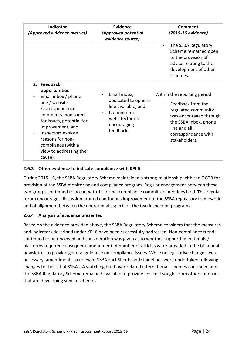| <b>Indicator</b><br>(Approved evidence metrics)                                                                                                                                                                                                                      | Evidence<br>(Approved potential<br>evidence source)                                                                   | Comment<br>(2015-16 evidence)                                                                                                                                                       |
|----------------------------------------------------------------------------------------------------------------------------------------------------------------------------------------------------------------------------------------------------------------------|-----------------------------------------------------------------------------------------------------------------------|-------------------------------------------------------------------------------------------------------------------------------------------------------------------------------------|
|                                                                                                                                                                                                                                                                      |                                                                                                                       | The SSBA Regulatory<br>-<br>Scheme remained open<br>to the provision of<br>advice relating to the<br>development of other<br>schemes.                                               |
| 2. Feedback<br>opportunities<br>Email inbox / phone<br>line / website<br>/correspondence<br>comments monitored<br>for issues, potential for<br>improvement; and<br>Inspectors explore<br>reasons for non-<br>compliance (with a<br>view to addressing the<br>cause). | Email inbox,<br>dedicated telephone<br>line available; and<br>Comment on<br>website/forms<br>encouraging<br>feedback. | Within the reporting period:<br>Feedback from the<br>regulated community<br>was encouraged through<br>the SSBA inbox, phone<br>line and all<br>correspondence with<br>stakeholders. |

#### <span id="page-24-0"></span>**2.6.3 Other evidence to indicate compliance with KPI 6**

During 2015-16, the SSBA Regulatory Scheme maintained a strong relationship with the OGTR for provision of the SSBA monitoring and compliance program. Regular engagement between these two groups continued to occur, with 11 formal compliance committee meetings held. This regular forum encourages discussion around continuous improvement of the SSBA regulatory framework and of alignment between the operational aspects of the two inspection programs.

#### <span id="page-24-1"></span>**2.6.4 Analysis of evidence presented**

Based on the evidence provided above, the SSBA Regulatory Scheme considers that the measures and indicators described under KPI 6 have been successfully addressed. Non-compliance trends continued to be reviewed and consideration was given as to whether supporting materials / platforms required subsequent amendment. A number of articles were provided in the bi-annual newsletter to provide general guidance on compliance issues. While no legislative changes were necessary, amendments to relevant SSBA Fact Sheets and Guidelines were undertaken following changes to the List of SSBAs. A watching brief over related international schemes continued and the SSBA Regulatory Scheme remained available to provide advice if sought from other countries that are developing similar schemes.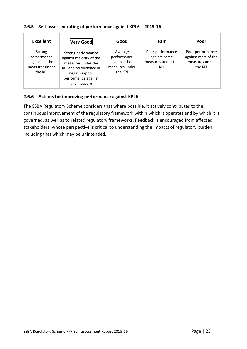#### <span id="page-25-0"></span>**2.6.5 Self-assessed rating of performance against KPI 6 – 2015-16**

| <b>Excellent</b>                                                      | <b>Very Good</b>                                                                                                                                     | Good                                                               | Fair                                                          | Poor                                                                 |
|-----------------------------------------------------------------------|------------------------------------------------------------------------------------------------------------------------------------------------------|--------------------------------------------------------------------|---------------------------------------------------------------|----------------------------------------------------------------------|
| Strong<br>performance<br>against all the<br>measures under<br>the KPI | Strong performance<br>against majority of the<br>measures under the<br>KPI and no evidence of<br>negative/poor<br>performance against<br>any measure | Average<br>performance<br>against the<br>measures under<br>the KPI | Poor performance<br>against some<br>measures under the<br>KPI | Poor performance<br>against most of the<br>measures under<br>the KPI |

#### <span id="page-25-1"></span>**2.6.6 Actions for improving performance against KPI 6**

The SSBA Regulatory Scheme considers that where possible, it actively contributes to the continuous improvement of the regulatory framework within which it operates and by which it is governed, as well as to related regulatory frameworks. Feedback is encouraged from affected stakeholders, whose perspective is critical to understanding the impacts of regulatory burden including that which may be unintended.